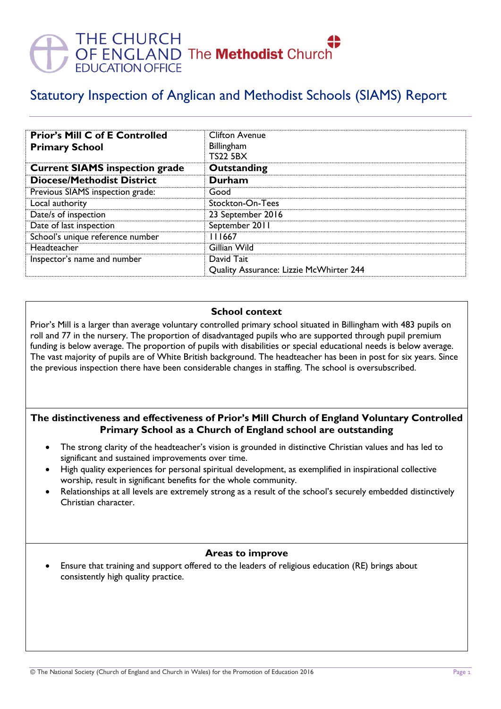# THE CHURCH<br>OF ENGLAND The **Methodist** Church<br>EDUCATION OFFICE

# Statutory Inspection of Anglican and Methodist Schools (SIAMS) Report

| <b>Prior's Mill C of E Controlled</b><br><b>Primary School</b> | <b>Clifton Avenue</b><br>Billingham<br><b>TS22 5BX</b> |
|----------------------------------------------------------------|--------------------------------------------------------|
| <b>Current SIAMS inspection grade</b>                          | Outstanding                                            |
| <b>Diocese/Methodist District</b>                              | Durham                                                 |
| Previous SIAMS inspection grade:                               | Good                                                   |
| Local authority                                                | Stockton-On-Tees                                       |
| Date/s of inspection                                           | 23 September 2016                                      |
| Date of last inspection                                        | September 2011                                         |
| School's unique reference number                               | 111667                                                 |
| Headteacher                                                    | Gillian Wild                                           |
| Inspector's name and number                                    | David Tait                                             |
|                                                                | Quality Assurance: Lizzie McWhirter 244                |

#### **School context**

Prior's Mill is a larger than average voluntary controlled primary school situated in Billingham with 483 pupils on roll and 77 in the nursery. The proportion of disadvantaged pupils who are supported through pupil premium funding is below average. The proportion of pupils with disabilities or special educational needs is below average. The vast majority of pupils are of White British background. The headteacher has been in post for six years. Since the previous inspection there have been considerable changes in staffing. The school is oversubscribed.

### **The distinctiveness and effectiveness of Prior's Mill Church of England Voluntary Controlled Primary School as a Church of England school are outstanding**

- The strong clarity of the headteacher's vision is grounded in distinctive Christian values and has led to significant and sustained improvements over time.
- High quality experiences for personal spiritual development, as exemplified in inspirational collective worship, result in significant benefits for the whole community.
- Relationships at all levels are extremely strong as a result of the school's securely embedded distinctively Christian character.

#### **Areas to improve**

 Ensure that training and support offered to the leaders of religious education (RE) brings about consistently high quality practice.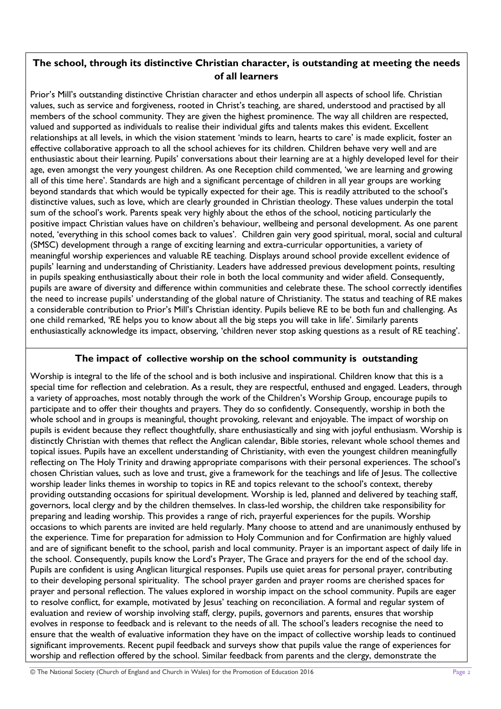## **The school, through its distinctive Christian character, is outstanding at meeting the needs of all learners**

Prior's Mill's outstanding distinctive Christian character and ethos underpin all aspects of school life. Christian values, such as service and forgiveness, rooted in Christ's teaching, are shared, understood and practised by all members of the school community. They are given the highest prominence. The way all children are respected, valued and supported as individuals to realise their individual gifts and talents makes this evident. Excellent relationships at all levels, in which the vision statement 'minds to learn, hearts to care' is made explicit, foster an effective collaborative approach to all the school achieves for its children. Children behave very well and are enthusiastic about their learning. Pupils' conversations about their learning are at a highly developed level for their age, even amongst the very youngest children. As one Reception child commented, 'we are learning and growing all of this time here'. Standards are high and a significant percentage of children in all year groups are working beyond standards that which would be typically expected for their age. This is readily attributed to the school's distinctive values, such as love, which are clearly grounded in Christian theology. These values underpin the total sum of the school's work. Parents speak very highly about the ethos of the school, noticing particularly the positive impact Christian values have on children's behaviour, wellbeing and personal development. As one parent noted, 'everything in this school comes back to values'. Children gain very good spiritual, moral, social and cultural (SMSC) development through a range of exciting learning and extra-curricular opportunities, a variety of meaningful worship experiences and valuable RE teaching. Displays around school provide excellent evidence of pupils' learning and understanding of Christianity. Leaders have addressed previous development points, resulting in pupils speaking enthusiastically about their role in both the local community and wider afield. Consequently, pupils are aware of diversity and difference within communities and celebrate these. The school correctly identifies the need to increase pupils' understanding of the global nature of Christianity. The status and teaching of RE makes a considerable contribution to Prior's Mill's Christian identity. Pupils believe RE to be both fun and challenging. As one child remarked, 'RE helps you to know about all the big steps you will take in life'. Similarly parents enthusiastically acknowledge its impact, observing, 'children never stop asking questions as a result of RE teaching'.

#### **The impact of collective worship on the school community is outstanding**

Worship is integral to the life of the school and is both inclusive and inspirational. Children know that this is a special time for reflection and celebration. As a result, they are respectful, enthused and engaged. Leaders, through a variety of approaches, most notably through the work of the Children's Worship Group, encourage pupils to participate and to offer their thoughts and prayers. They do so confidently. Consequently, worship in both the whole school and in groups is meaningful, thought provoking, relevant and enjoyable. The impact of worship on pupils is evident because they reflect thoughtfully, share enthusiastically and sing with joyful enthusiasm. Worship is distinctly Christian with themes that reflect the Anglican calendar, Bible stories, relevant whole school themes and topical issues. Pupils have an excellent understanding of Christianity, with even the youngest children meaningfully reflecting on The Holy Trinity and drawing appropriate comparisons with their personal experiences. The school's chosen Christian values, such as love and trust, give a framework for the teachings and life of Jesus. The collective worship leader links themes in worship to topics in RE and topics relevant to the school's context, thereby providing outstanding occasions for spiritual development. Worship is led, planned and delivered by teaching staff, governors, local clergy and by the children themselves. In class-led worship, the children take responsibility for preparing and leading worship. This provides a range of rich, prayerful experiences for the pupils. Worship occasions to which parents are invited are held regularly. Many choose to attend and are unanimously enthused by the experience. Time for preparation for admission to Holy Communion and for Confirmation are highly valued and are of significant benefit to the school, parish and local community. Prayer is an important aspect of daily life in the school. Consequently, pupils know the Lord's Prayer, The Grace and prayers for the end of the school day. Pupils are confident is using Anglican liturgical responses. Pupils use quiet areas for personal prayer, contributing to their developing personal spirituality. The school prayer garden and prayer rooms are cherished spaces for prayer and personal reflection. The values explored in worship impact on the school community. Pupils are eager to resolve conflict, for example, motivated by Jesus' teaching on reconciliation. A formal and regular system of evaluation and review of worship involving staff, clergy, pupils, governors and parents, ensures that worship evolves in response to feedback and is relevant to the needs of all. The school's leaders recognise the need to ensure that the wealth of evaluative information they have on the impact of collective worship leads to continued significant improvements. Recent pupil feedback and surveys show that pupils value the range of experiences for worship and reflection offered by the school. Similar feedback from parents and the clergy, demonstrate the